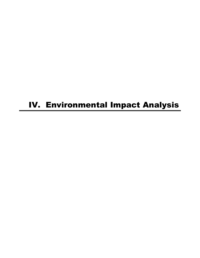# IV. Environmental Impact Analysis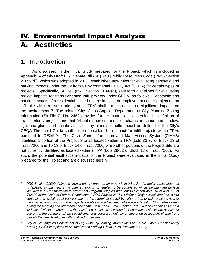# IV. Environmental Impact Analysis A. Aesthetics

# **1. Introduction**

As discussed in the Initial Study prepared for the Project, which is included in Appendix A of this Draft EIR, Senate Bill (SB) 743 [Public Resources Code (PRC) Section 21099(d)], which was adopted in 2013, established new rules for evaluating aesthetic and parking impacts under the California Environmental Quality Act (CEQA) for certain types of projects. Specifically, SB 743 (PRC Section 21099(d)) sets forth guidelines for evaluating project impacts for transit-oriented infill projects under CEQA, as follows: "Aesthetic and parking impacts of a residential, mixed-use residential, or employment center project on an infill site within a transit priority area (TPA) shall not be considered significant impacts on the environment."<sup>1</sup> The related City of Los Angeles Department of City Planning Zoning Information (ZI) File ZI No. 2452 provides further instruction concerning the definition of transit priority projects and that "visual resources, aesthetic character, shade and shadow, light and glare, and scenic vistas or any other aesthetic impact as defined in the City's CEQA Threshold Guide shall not be considered an impact for infill projects within TPAs pursuant to CEQA."<sup>2</sup> The City's Zone Information and Map Access System (ZIMAS) identifies a portion of the Project Site as located within a TPA (Lots 33-37 of Block 13 of Tract 7260 and 10-13 of Block 14 of Tract 7260) while other portions of the Project Site are not currently identified as located within a TPA (Lots 29-32 of Block 13 of Tract 7260). As such, the potential aesthetics impacts of the Project were evaluated in the Initial Study prepared for the Project and are discussed herein.

*<sup>1</sup> PRC Section 21099 defines a "transit priority area" as an area within 0.5 mile of a major transit stop that is "existing or planned, if the planned stop is scheduled to be completed within the planning horizon included in a Transportation Improvement Program adopted pursuant to Section 450.216 or 450.322 of Title 23 of the Code of Federal Regulations." PRC Section 21064.3 defines "major transit stop" as "a site containing an existing rail transit station, a ferry terminal served by either a bus or rail transit service, or the intersection of two or more major bus routes with a frequency of service interval of 15 minutes or less during the morning and afternoon peak commute periods." PRC Section 21099 defines an "infill site" as a lot located within an urban area that has been previously developed, or on a vacant site where at least 75 percent of the perimeter of the site adjoins, or is separated only by an improved public right-of-way from, parcels that are developed with qualified urban uses.*

*<sup>2</sup> City of Los Angeles Department of City Planning, Zoning Information File ZA No. 2452, Transit Priority Areas (TPAs)/Exemptions to Aesthetics and Parking Within TPAs Pursuant to CEQA.*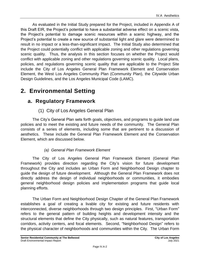As evaluated in the Initial Study prepared for the Project, included in Appendix A of this Draft EIR, the Project's potential to have a substantial adverse effect on a scenic vista, the Project's potential to damage scenic resources within a scenic highway, and the Project's potential to create a new source of substantial light and glare were determined to result in no impact or a less-than-significant impact. The Initial Study also determined that the Project could potentially conflict with applicable zoning and other regulations governing scenic quality. Thus, the analysis in this section focuses on whether the Project would conflict with applicable zoning and other regulations governing scenic quality. Local plans, policies, and regulations governing scenic quality that are applicable to the Project Site include the City of Los Angeles General Plan Framework Element and Conservation Element, the West Los Angeles Community Plan (Community Plan), the Citywide Urban Design Guidelines, and the Los Angeles Municipal Code (LAMC).

# **2. Environmental Setting**

## **a. Regulatory Framework**

## (1) City of Los Angeles General Plan

The City's General Plan sets forth goals, objectives, and programs to guide land use policies and to meet the existing and future needs of the community. The General Plan consists of a series of elements, including some that are pertinent to a discussion of aesthetics. These include the General Plan Framework Element and the Conservation Element, which are discussed below.

## *(a) General Plan Framework Element*

The City of Los Angeles General Plan Framework Element (General Plan Framework) provides direction regarding the City's vision for future development throughout the City and includes an Urban Form and Neighborhood Design chapter to guide the design of future development. Although the General Plan Framework does not directly address the design of individual neighborhoods or communities, it embodies general neighborhood design policies and implementation programs that guide local planning efforts.

The Urban Form and Neighborhood Design Chapter of the General Plan Framework establishes a goal of creating a livable city for existing and future residents with interconnected, diverse neighborhoods through two design principles. First, "Urban Form" refers to the general pattern of building heights and development intensity and the structural elements that define the City physically, such as natural features, transportation corridors, activity centers, and focal elements. Second, "Neighborhood Design" refers to the physical character of neighborhoods and communities within the City. The Urban Form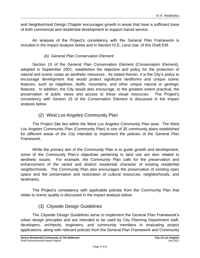and Neighborhood Design Chapter encourages growth in areas that have a sufficient base of both commercial and residential development to support transit service.

An analysis of the Project's consistency with the General Plan Framework is included in the impact analysis below and in Section IV.E, Land Use, of this Draft EIR.

### *(b) General Plan Conservation Element*

Section 15 of the General Plan Conservation Element (Conservation Element), adopted in September 2001, establishes the objective and policy for the protection of natural and scenic vistas as aesthetic resources. As stated therein, it is the City's policy to encourage development that would protect significant landforms and unique scenic features, such as ridgelines, bluffs, mountains, and other unique natural or geologic features. In addition, the City would also encourage, to the greatest extent practical, the preservation of public views and access to these visual resources. The Project's consistency with Section 15 of the Conservation Element is discussed in the impact analysis below.

## (2) West Los Angeles Community Plan

The Project Site lies within the West Los Angeles Community Plan area. The West Los Angeles Community Plan (Community Plan) is one of 35 community plans established for different areas of the City intended to implement the policies of the General Plan Framework.

While the primary aim of the Community Plan is to guide growth and development, some of the Community Plan's objectives pertaining to land use are also related to aesthetic issues. For example, the Community Plan calls for the preservation and enhancement of the varied and distinct residential character of existing residential neighborhoods. The Community Plan also encourages the preservation of existing open space and the preservation and restoration of cultural resources, neighborhoods, and landmarks.

The Project's consistency with applicable policies from the Community Plan that relate to scenic quality is discussed in the impact analysis below.

## (3) Citywide Design Guidelines

The Citywide Design Guidelines serve to implement the General Plan Framework's urban design principles and are intended to be used by City Planning Department staff, developers, architects, engineers, and community members in evaluating project applications, along with relevant policies from the General Plan Framework and Community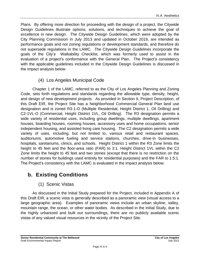Plans. By offering more direction for proceeding with the design of a project, the Citywide Design Guidelines illustrate options, solutions, and techniques to achieve the goal of excellence in new design. The Citywide Design Guidelines, which were adopted by the City Planning Commission in July 2013 and updated in October 2019, are intended as performance goals and not zoning regulations or development standards, and therefore do not supersede regulations in the LAMC. The Citywide Design Guidelines incorporate the goals of the City's Walkability Checklist, which was formerly used to assist in the evaluation of a project's conformance with the General Plan. The Project's consistency with the applicable guidelines included in the Citywide Design Guidelines is discussed in the impact analysis below.

## (4) Los Angeles Municipal Code

Chapter 1 of the LAMC, referred to as the City of Los Angeles Planning and Zoning Code, sets forth regulations and standards regarding the allowable type, density, height, and design of new development projects. As provided in Section II, Project Description, of this Draft EIR, the Project Site has a Neighborhood Commercial General Plan land use designation and is zoned R3-1-O (Multiple Residential, Height District 1, Oil Drilling) and C2-1VL-O (Commercial, Height District 1VL, Oil Drilling). The R3 designation permits a wide variety of residential uses, including group dwellings, multiple dwellings, apartment houses, boarding houses, rooming houses, accessory uses and home occupations, senior independent housing, and assisted living care housing. The C2 designation permits a wide variety of uses, including, but not limited to, various retail and restaurant spaces, auditoriums, automotive fueling and service stations, churches, drive-in businesses, hospitals, sanitariums, clinics, and schools. Height District 1 within the R3 Zone limits the height to 45 feet and the floor-area ratio (FAR) to 3:1. Height District 1VL within the C2 Zone limits the height to 45 feet and two stories (except that there is no restriction on the number of stories for buildings used entirely for residential purposes) and the FAR to 1.5:1. The Project's consistency with the LAMC is evaluated in the impact analysis below.

# **b. Existing Conditions**

## (1) Scenic Vistas

As discussed in the Initial Study prepared for the Project, included in Appendix A of this Draft EIR, a scenic vista is generally described as a panoramic view (visual access to a large geographic area). Examples of panoramic views include an urban skyline, valley, mountain range, the ocean, or other water bodies. As described in the Initial Study, due to the highly urbanized and built out surroundings, there are no publicly available scenic vistas of any valued visual resources in the vicinity of the Project Site.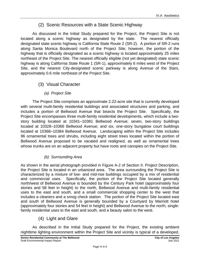## (2) Scenic Resources with a State Scenic Highway

As discussed in the Initial Study prepared for the Project, the Project Site is not located along a scenic highway as designated by the state. The nearest officially designated state scenic highway is California State Route 2 (SR-2). A portion of SR-2 runs along Santa Monica Boulevard north of the Project Site; however, the portion of the highway that is officially designated as a scenic highway is located approximately 25 miles northeast of the Project Site. The nearest officially eligible (not yet designated) state scenic highway is along California State Route 1 (SR-1), approximately 6 miles west of the Project Site, and the nearest City-designated scenic parkway is along Avenue of the Stars, approximately 0.6 mile northeast of the Project Site.

- (3) Visual Character
	- *(a) Project Site*

The Project Site comprises an approximate 2.22-acre site that is currently developed with several multi-family residential buildings and associated structures and parking, and includes a portion of Bellwood Avenue that bisects the Project Site. Specifically, the Project Site encompasses three multi-family residential developments, which include a twostory building located at 10341–10381 Bellwood Avenue; seven, two-story buildings located at 10328–10366 Bellwood Avenue; and six, one-story bungalow court buildings located at 10368–10384 Bellwood Avenue. Landscaping within the Project Site includes 96 ornamental trees and shrubs, including eight street trees located within the portion of Bellwood Avenue proposed to be vacated and realigned, as well as ornamental trees whose trunks are on an adjacent property but have roots and canopies on the Project Site.

## *(b) Surrounding Area*

As shown in the aerial photograph provided in Figure A-2 of Section II. Project Description, the Project Site is located in an urbanized area. The area surrounding the Project Site is characterized by a mixture of low- and mid-rise buildings occupied by a mix of residential and commercial uses. Specifically, the portion of the Project Site located generally north/west of Bellwood Avenue is bounded by the Century Park hotel (approximately four stories and 58 feet in height) to the north, Bellwood Avenue and multi-family residential uses to the east and south, and a small commercial shopping center to the west that includes a cleaners and a smog check station. The portion of the Project Site located east and south of Bellwood Avenue is generally bounded by a Courtyard by Marriott hotel (approximately four stories and 54 feet in height) and Bellwood Avenue to the north, singlefamily residential uses to the east and south, and a beauty salon to the west.

## (4) Light and Glare

As described in the Initial Study prepared for the Project, the existing ambient nighttime lighting environment within the Project Site and vicinity is typical of a developed,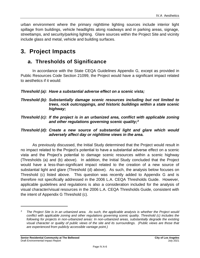urban environment where the primary nighttime lighting sources include interior light spillage from buildings, vehicle headlights along roadways and in parking areas, signage, streetlamps, and security/parking lighting. Glare sources within the Project Site and vicinity include glass and metal, vehicle and building surfaces.

# **3. Project Impacts**

# **a. Thresholds of Significance**

In accordance with the State CEQA Guidelines Appendix G, except as provided in Public Resources Code Section 21099, the Project would have a significant impact related to aesthetics if it would:

*Threshold (a): Have a substantial adverse effect on a scenic vista;*

- *Threshold (b): Substantially damage scenic resources including but not limited to trees, rock outcroppings, and historic buildings within a state scenic highway;*
- *Threshold (c): If the project is in an urbanized area, conflict with applicable zoning and other regulations governing scenic quality;<sup>3</sup>*
- *Threshold (d): Create a new source of substantial light and glare which would adversely affect day or nighttime views in the area.*

As previously discussed, the Initial Study determined that the Project would result in no impact related to the Project's potential to have a substantial adverse effect on a scenic vista and the Project's potential to damage scenic resources within a scenic highway (Thresholds (a) and (b) above). In addition, the Initial Study concluded that the Project would have a less-than-significant impact related to the creation of a new source of substantial light and glare (Threshold (d) above). As such, the analysis below focuses on Threshold (c) listed above. This question was recently added to Appendix G and is therefore not specifically addressed in the 2006 L.A. CEQA Thresholds Guide. However, applicable guidelines and regulations is also a consideration included for the analysis of visual character/visual resources in the 2006 L.A. CEQA Thresholds Guide, consistent with the intent of Appendix G Threshold (c).

*<sup>3</sup> The Project Site is in an urbanized area. As such, the applicable analysis is whether the Project would conflict with applicable zoning and other regulations governing scenic quality. Threshold (c) includes the following for projects in non-urbanized areas: In non-urbanized areas, substantially degrade the existing visual character or quality of public views of the site and its surroundings. (Public views are those that are experienced from publicly accessible vantage point.)*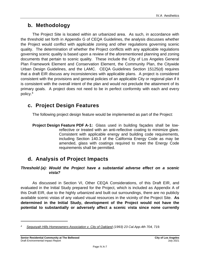# **b. Methodology**

The Project Site is located within an urbanized area. As such, in accordance with the threshold set forth in Appendix G of CEQA Guidelines, the analysis discusses whether the Project would conflict with applicable zoning and other regulations governing scenic quality. The determination of whether the Project conflicts with any applicable regulations governing scenic quality is based upon a review of the aforementioned planning and zoning documents that pertain to scenic quality. These include the City of Los Angeles General Plan Framework Element and Conservation Element, the Community Plan, the Citywide Urban Design Guidelines, and the LAMC. CEQA Guidelines Section 15125(d) requires that a draft EIR discuss any inconsistencies with applicable plans. A project is considered consistent with the provisions and general policies of an applicable City or regional plan if it is consistent with the overall intent of the plan and would not preclude the attainment of its primary goals. A project does not need to be in perfect conformity with each and every policy.<sup>4</sup>

# **c. Project Design Features**

The following project design feature would be implemented as part of the Project:

**Project Design Feature PDF A-1:** Glass used in building façades shall be lowreflective or treated with an anti-reflective coating to minimize glare. Consistent with applicable energy and building code requirements, including Section 140.3 of the California Energy Code as may be amended, glass with coatings required to meet the Energy Code requirements shall be permitted.

# **d. Analysis of Project Impacts**

#### *Threshold (a): Would the Project have a substantial adverse effect on a scenic vista?*

As discussed in Section VI, Other CEQA Considerations, of this Draft EIR, and evaluated in the Initial Study prepared for the Project, which is included as Appendix A of this Draft EIR, due to the highly urbanized and built out surroundings, there are no publicly available scenic vistas of any valued visual resources in the vicinity of the Project Site. **As determined in the Initial Study, development of the Project would not have the potential to substantially or adversely affect a scenic vista since none currently** 

*<sup>4</sup> Sequoyah Hills Homeowners Association v. City of Oakland (1993) 23 Cal.App.4th 704, 719.*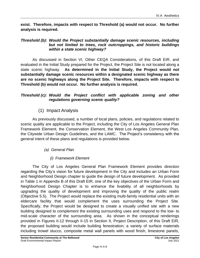**exist. Therefore, impacts with respect to Threshold (a) would not occur. No further analysis is required.**

#### *Threshold (b): Would the Project substantially damage scenic resources, including but not limited to trees, rock outcroppings, and historic buildings within a state scenic highway?*

As discussed in Section VI, Other CEQA Considerations, of this Draft EIR, and evaluated in the Initial Study prepared for the Project, the Project Site is not located along a state scenic highway. **As determined in the Initial Study, the Project would not substantially damage scenic resources within a designated scenic highway as there are no scenic highways along the Project Site. Therefore, impacts with respect to Threshold (b) would not occur. No further analysis is required.** 

### *Threshold (c): Would the Project conflict with applicable zoning and other regulations governing scenic quality?*

## (1) Impact Analysis

As previously discussed, a number of local plans, policies, and regulations related to scenic quality are applicable to the Project, including the City of Los Angeles General Plan Framework Element, the Conservation Element, the West Los Angeles Community Plan, the Citywide Urban Design Guidelines, and the LAMC. The Project's consistency with the general intent of these plans and regulations is provided below.

## *(a) General Plan*

## *(i) Framework Element*

The City of Los Angeles General Plan Framework Element provides direction regarding the City's vision for future development in the City and includes an Urban Form and Neighborhood Design chapter to guide the design of future development. As provided in Table 1 in Appendix B of this Draft EIR, one of the key objectives of the Urban Form and Neighborhood Design Chapter is to enhance the livability of all neighborhoods by upgrading the quality of development and improving the quality of the public realm (Objective 5.5). The Project would replace the existing multi-family residential units with an eldercare facility that would complement the uses surrounding the Project Site. Specifically, the Project would be designed to create a visually unified site with a new building designed to complement the existing surrounding uses and respond to the low- to mid-scale character of the surrounding area. As shown in the conceptual renderings provided in Figures II-12 through II-15 in Section II, Project Description, of this Draft EIR, the proposed building would include building fenestration; a variety of surface materials including trowel stucco, composite metal wall panels with wood finish, limestone panels,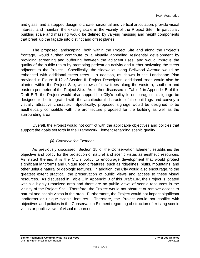and glass; and a stepped design to create horizontal and vertical articulation, provide visual interest, and maintain the existing scale in the vicinity of the Project Site. In particular, building scale and massing would be defined by varying massing and height components that break up the façade into distinct and offset planes.

The proposed landscaping, both within the Project Site and along the Project's frontage, would further contribute to a visually appealing residential development by providing screening and buffering between the adjacent uses, and would improve the quality of the public realm by promoting pedestrian activity and further activating the street adjacent to the Project. Specifically, the sidewalks along Bellwood Avenue would be enhanced with additional street trees. In addition, as shown in the Landscape Plan provided in Figure II-12 of Section II, Project Description, additional trees would also be planted within the Project Site, with rows of new trees along the western, southern and eastern perimeter of the Project Site. As further discussed in Table 1 in Appendix B of this Draft EIR, the Project would also support the City's policy to encourage that signage be designed to be integrated with the architectural character of the buildings and convey a visually attractive character. Specifically, proposed signage would be designed to be aesthetically compatible with the architecture proposed for the building as well as the surrounding area.

Overall, the Project would not conflict with the applicable objectives and policies that support the goals set forth in the Framework Element regarding scenic quality.

#### *(ii) Conservation Element*

As previously discussed, Section 15 of the Conservation Element establishes the objective and policy for the protection of natural and scenic vistas as aesthetic resources. As stated therein, it is the City's policy to encourage development that would protect significant landforms and unique scenic features, such as ridgelines, bluffs, mountains, and other unique natural or geologic features. In addition, the City would also encourage, to the greatest extent practical, the preservation of public views and access to these visual resources. As discussed in Table 1 in Appendix B of this Draft EIR, the Project is located within a highly urbanized area and there are no public views of scenic resources in the vicinity of the Project Site. Therefore, the Project would not obstruct or remove access to natural and scenic vistas in the area. Furthermore, the Project would not impact significant landforms or unique scenic features. Therefore, the Project would not conflict with objectives and policies in the Conservation Element regarding obstruction of existing scenic vistas or public views of visual resources.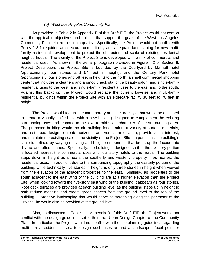### *(b) West Los Angeles Community Plan*

As provided in Table 2 in Appendix B of this Draft EIR, the Project would not conflict with the applicable objectives and policies that support the goals of the West Los Angeles Community Plan related to scenic quality. Specifically, the Project would not conflict with Policy 1-3.1 requiring architectural compatibility and adequate landscaping for new multifamily residential development to protect the character and scale of existing residential neighborhoods. The vicinity of the Project Site is developed with a mix of commercial and residential uses. As shown in the aerial photograph provided in Figure II-2 of Section II. Project Description, the Project Site is bounded by the Courtyard by Marriott hotel (approximately four stories and 54 feet in height), and the Century Park hotel (approximately four stories and 58 feet in height) to the north; a small commercial shopping center that includes a cleaners and a smog check station, a beauty salon, and single-family residential uses to the west; and single-family residential uses to the east and to the south. Against this backdrop, the Project would replace the current low-rise and multi-family residential buildings within the Project Site with an eldercare facility 38 feet to 70 feet in height.

The Project would feature a contemporary architectural style that would be designed to create a visually unified site with a new building designed to complement the existing surrounding uses and respond to the low- to mid-scale character of the surrounding area. The proposed building would include building fenestration, a variety of surface materials, and a stepped design to create horizontal and vertical articulation, provide visual interest, and maintain the existing scale in the vicinity of the Project Site. In particular, the building's scale is defined by varying massing and height components that break up the façade into distinct and offset planes. Specifically, the building is designed so that the six-story portion is located nearest the commercial uses and four-story hotels to the north. The building steps down in height as it nears the southerly and westerly property lines nearest the residential uses. In addition, due to the surrounding topography, the easterly portion of the building, while technically five stories in height, is only three stories in height when viewed from the elevation of the adjacent properties to the east. Similarly, as properties to the south adjacent to the east wing of the building are at a higher elevation than the Project Site, when looking toward the five-story east wing of the building it appears as four stories. Roof deck terraces are provided at each building level as the building steps up in height to both reduce massing and create green spaces from the ground level to the top of the building. Extensive landscaping that would serve as screening along the perimeter of the Project Site would also be provided at the ground level.

Also, as discussed in Table 1 in Appendix B of this Draft EIR, the Project would not conflict with the design guidelines set forth in the Urban Design Chapter of the Community Plan. In particular, the Project would not conflict with the site planning guidelines regarding multi-family residential uses, to design such uses around a landscaped focal point or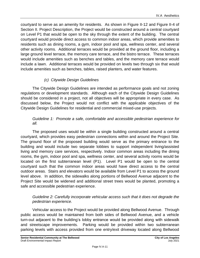courtyard to serve as an amenity for residents. As shown in Figure II-12 and Figure II-4 of Section II. Project Description, the Project would be constructed around a central courtyard on Level P1 that would be open to the sky through the extent of the building. The central courtyard would provide direct access to common indoor areas, which provide amenities to residents such as dining rooms, a gym, indoor pool and spa, wellness center, and several other activity rooms. Additional terraces would be provided at the ground floor, including a large ground level terrace, the memory care terrace, and the bistro terrace. These terraces would include amenities such as benches and tables, and the memory care terrace would include a lawn. Additional terraces would be provided on levels two through six that would include amenities such as benches, tables, raised planters, and water features.

## *(c) Citywide Design Guidelines*

The Citywide Design Guidelines are intended as performance goals and not zoning regulations or development standards. Although each of the Citywide Design Guidelines should be considered in a project, not all objectives will be appropriate in every case. As discussed below, the Project would not conflict with the applicable objectives of the Citywide Design Guidelines for residential and commercial mixed-use projects.

#### *Guideline 1: Promote a safe, comfortable and accessible pedestrian experience for all.*

The proposed uses would be within a single building constructed around a central courtyard, which provides easy pedestrian connections within and around the Project Site. The ground floor of the proposed building would serve as the primary entrance to the building and would include two separate lobbies to support independent living/assisted living and memory care services, respectively. Indoor common areas including the dining rooms, the gym, indoor pool and spa, wellness center, and several activity rooms would be located on the first subterranean level (P1). Level P1 would be open to the central courtyard such that the common indoor areas would have direct access to the central outdoor areas. Stairs and elevators would be available from Level P1 to access the ground level above. In addition, the sidewalks along portions of Bellwood Avenue adjacent to the Project Site would be widened and additional street trees would be planted, promoting a safe and accessible pedestrian experience.

#### *Guideline 2: Carefully incorporate vehicular access such that it does not degrade the pedestrian experience.*

Vehicular access to the Project would be provided along Bellwood Avenue. Through public access would be maintained from both sides of Bellwood Avenue, and a vehicle turn-out adjacent to the building's lobby entrance would be provided along with sidewalk and streetscape improvements. Parking would be provided within two subterranean parking levels with access provided from one entry/exit driveway located along Bellwood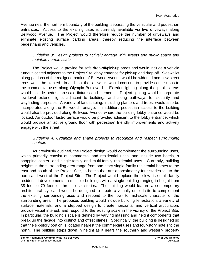Avenue near the northern boundary of the building, separating the vehicular and pedestrian entrances. Access to the existing uses is currently available via five driveways along Bellwood Avenue. The Project would therefore reduce the number of driveways and eliminate existing surface parking areas, thereby reducing the interface between pedestrians and vehicles.

#### *Guideline 3: Design projects to actively engage with streets and public space and maintain human scale.*

The Project would provide for safe drop-off/pick-up areas and would include a vehicle turnout located adjacent to the Project Site lobby entrance for pick-up and drop-off. Sidewalks along portions of the realigned portion of Bellwood Avenue would be widened and new street trees would be planted. In addition, the sidewalks would continue to provide connections to the commercial uses along Olympic Boulevard. Exterior lighting along the public areas would include pedestrian-scale fixtures and elements. Project lighting would incorporate low-level exterior lights adjacent to buildings and along pathways for security and wayfinding purposes. A variety of landscaping, including planters and trees, would also be incorporated along the Bellwood frontage. In addition, pedestrian access to the building would also be provided along Bellwood Avenue where the building lobby entrance would be located. An outdoor bistro terrace would be provided adjacent to the lobby entrance, which would provide an active ground floor with pedestrian friendly improvements and actively engage with the street.

#### *Guideline 4: Organize and shape projects to recognize and respect surrounding context.*

As previously outlined, the Project design would complement the surrounding uses, which primarily consist of commercial and residential uses, and include two hotels, a shopping center, and single-family and multi-family residential uses. Currently, building heights in the surrounding area range from one story single-family residential homes to the east and south of the Project Site, to hotels that are approximately four stories tall to the north and west of the Project Site. The Project would replace three low-rise multi-family residential developments in multiple buildings with a single building ranging in height from 38 feet to 70 feet, or three to six stories. The building would feature a contemporary architectural style and would be designed to create a visually unified site to complement the existing surrounding uses and respond to the low- to mid-scale character of the surrounding area. The proposed building would include building fenestration, a variety of surface materials, and a stepped design to create horizontal and vertical articulation, provide visual interest, and respond to the existing scale in the vicinity of the Project Site. In particular, the building's scale is defined by varying massing and height components that break up the façade into distinct and offset planes. Specifically, the building is designed so that the six-story portion is located nearest the commercial uses and four-story hotels to the north. The building steps down in height as it nears the southerly and westerly property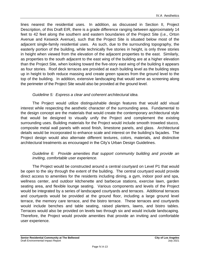lines nearest the residential uses. In addition, as discussed in Section II, Project Description, of this Draft EIR, there is a grade difference ranging between approximately 14 feet to 42 feet along the southern and eastern boundaries of the Project Site (i.e., Orton Avenue and Keswick Avenue), such that the Project Site is situated below most of the adjacent single-family residential uses. As such, due to the surrounding topography, the easterly portion of the building, while technically five stories in height, is only three stories in height when viewed from the elevation of the adjacent properties to the east. Similarly, as properties to the south adjacent to the east wing of the building are at a higher elevation than the Project Site, when looking toward the five-story east wing of the building it appears as four stories. Roof deck terraces are provided at each building level as the building steps up in height to both reduce massing and create green spaces from the ground level to the top of the building. In addition, extensive landscaping that would serve as screening along the perimeter of the Project Site would also be provided at the ground level.

#### *Guideline 5: Express a clear and coherent architectural idea.*

The Project would utilize distinguishable design features that would add visual interest while respecting the aesthetic character of the surrounding area. Fundamental to the design concept are the materials that would create the contemporary architectural style that would be designed to visually unify the Project and complement the existing surrounding uses. Building materials for the Project would include smooth troweled stucco, composite metal wall panels with wood finish, limestone panels, and glass. Architectural details would be incorporated to enhance scale and interest on the building's façades. The Project design would also alternate different textures, colors, materials, and distinctive architectural treatments as encouraged in the City's Urban Design Guidelines.

#### *Guideline 6: Provide amenities that support community building and provide an inviting, comfortable user experience.*

The Project would be constructed around a central courtyard on Level P1 that would be open to the sky through the extent of the building. The central courtyard would provide direct access to amenities for the residents including dining, a gym, indoor pool and spa, wellness center, and outdoor kitchenette and barbecue stations, exercise lawn, garden seating area, and flexible lounge seating. Various components and levels of the Project would be integrated by a series of landscaped courtyards and terraces. Additional terraces and courtyards would be provided at the ground floor, including a large ground level terrace, the memory care terrace, and the bistro terrace. These terraces and courtyards would include benches and table seating, raised planters, lawns, and bistro tables. Terraces would also be provided on levels two through six and would include landscaping. Therefore, the Project would provide amenities that provide an inviting and comfortable user experience.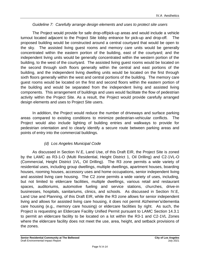#### *Guideline 7: Carefully arrange design elements and uses to protect site users*

The Project would provide for safe drop-off/pick-up areas and would include a vehicle turnout located adjacent to the Project Site lobby entrance for pick-up and drop-off. The proposed building would be constructed around a central courtyard that would be open to the sky. The assisted living guest rooms and memory care units would be generally concentrated within the eastern portion of the building, east of the courtyard; and the independent living units would be generally concentrated within the western portion of the building, to the west of the courtyard. The assisted living guest rooms would be located on the second through sixth floors generally within the central and east portions of the building, and the independent living dwelling units would be located on the first through sixth floors generally within the west and central portions of the building. The memory care guest rooms would be located on the first and second floors within the eastern portion of the building and would be separated from the independent living and assisted living components. This arrangement of buildings and uses would facilitate the flow of pedestrian activity within the Project Site. As a result, the Project would provide carefully arranged design elements and uses to Project Site users.

In addition, the Project would reduce the number of driveways and surface parking areas compared to existing conditions to minimize pedestrian-vehicular conflicts. The Project would also include lighting of building entries and walkways to provide for pedestrian orientation and to clearly identify a secure route between parking areas and points of entry into the commercial buildings.

#### *(d) Los Angeles Municipal Code*

As discussed in Section IV.E, Land Use, of this Draft EIR, the Project Site is zoned by the LAMC as R3-1-O (Multi Residential, Height District 1, Oil Drilling) and C2-1VL-O (Commercial, Height District 1VL, Oil Drilling). The R3 zone permits a wide variety of residential uses, including group dwellings, multiple dwellings, apartment houses, boarding houses, rooming houses, accessory uses and home occupations, senior independent living and assisted living care housing. The C2 zone permits a wide variety of uses, including, but not limited to eldercare facilities, multiple dwellings, various retail and restaurant spaces, auditoriums, automotive fueling and service stations, churches, drive-in businesses, hospitals, sanitariums, clinics, and schools. As discussed in Section IV.E, Land Use and Planning, of this Draft EIR, while the R3 zone allows for senior independent living and allows for assisted living care housing, it does not permit Alzheimer's/dementia care housing (e.g., memory care housing) or eldercare facilities by right. As such, the Project is requesting an Eldercare Facility Unified Permit pursuant to LAMC Section 14.3.1 to permit an eldercare facility to be located on a lot within the R3-1 and C2-1VL Zones where the eldercare facility does not meet the use, area, height, and setback provisions of the zones.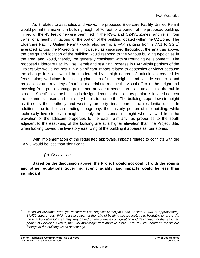As it relates to aesthetics and views, the proposed Eldercare Facility Unified Permit would permit the maximum building height of 70 feet for a portion of the proposed building, in lieu of the 45 feet otherwise permitted in the R3-1 and C2-IVL Zones; and relief from transitional height limitations for the portion of the building located within the C2 Zone. The Eldercare Facility Unified Permit would also permit a FAR ranging from 2.77:1 to 3.2:1<sup>5</sup> averaged across the Project Site. However, as discussed throughout the analysis above, the design and location of the building would respond to the various building typologies in the area, and would, thereby, be generally consistent with surrounding development. The proposed Eldercare Facility Use Permit and resulting increase in FAR within portions of the Project Site would not result in a significant impact related to aesthetics or views because the change in scale would be moderated by a high degree of articulation created by fenestration; variations in building planes, rooflines, heights, and façade setbacks and projections; and a variety of surface materials to reduce the visual effect of the height and massing from public vantage points and provide a pedestrian scale adjacent to the public streets. Specifically, the building is designed so that the six-story portion is located nearest the commercial uses and four-story hotels to the north. The building steps down in height as it nears the southerly and westerly property lines nearest the residential uses. In addition, due to the surrounding topography, the easterly portion of the building, while technically five stories in height, is only three stories in height when viewed from the elevation of the adjacent properties to the east. Similarly, as properties to the south adjacent to the east wing of the building are at a higher elevation than the Project Site, when looking toward the five-story east wing of the building it appears as four stories.

With implementation of the requested approvals, impacts related to conflicts with the LAMC would be less than significant.

## *(e) Conclusion*

**Based on the discussion above, the Project would not conflict with the zoning and other regulations governing scenic quality, and impacts would be less than significant.** 

*<sup>5</sup> Based on buildable area (as defined in Los Angeles Municipal Code Section 12.03) of approximately 87,421 square feet. FAR is a calculation of the ratio of building square footage to buildable lot area. As the final buildable lot area may vary based on the ultimate configuration and designation of the realigned portion of Bellwood Avenue, the FAR may range from approximately 2.77:1 to 3.2:1; however, the square footage of the building would not change.*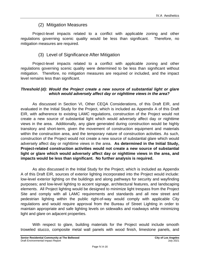## (2) Mitigation Measures

Project-level impacts related to a conflict with applicable zoning and other regulations governing scenic quality would be less than significant. Therefore, no mitigation measures are required.

## (3) Level of Significance After Mitigation

Project-level impacts related to a conflict with applicable zoning and other regulations governing scenic quality were determined to be less than significant without mitigation. Therefore, no mitigation measures are required or included, and the impact level remains less than significant.

#### *Threshold (d): Would the Project create a new source of substantial light or glare which would adversely affect day or nighttime views in the area?*

As discussed in Section VI, Other CEQA Considerations, of this Draft EIR, and evaluated in the Initial Study for the Project, which is included as Appendix A of this Draft EIR, with adherence to existing LAMC regulations, construction of the Project would not create a new source of substantial light which would adversely affect day or nighttime views in the area. Additionally, any glare generated during construction would be highly transitory and short-term, given the movement of construction equipment and materials within the construction area, and the temporary nature of construction activities. As such, construction of the Project would not create a new source of substantial glare which would adversely affect day or nighttime views in the area. **As determined in the Initial Study, Project-related construction activities would not create a new source of substantial light or glare which would adversely affect day or nighttime views in the area, and impacts would be less than significant. No further analysis is required.**

As also discussed in the Initial Study for the Project, which is included as Appendix A of this Draft EIR, sources of exterior lighting incorporated into the Project would include: low-level exterior lighting on the buildings and along pathways for security and wayfinding purposes; and low-level lighting to accent signage, architectural features, and landscaping elements. All Project lighting would be designed to minimize light trespass from the Project Site and comply with all LAMC requirements and standards and all new street and pedestrian lighting within the public right-of-way would comply with applicable City regulations and would require approval from the Bureau of Street Lighting in order to maintain appropriate and safe lighting levels on sidewalks and roadways while minimizing light and glare on adjacent properties.

With respect to glare, building materials for the Project would include smooth troweled stucco, composite metal wall panels with wood finish, limestone panels, and